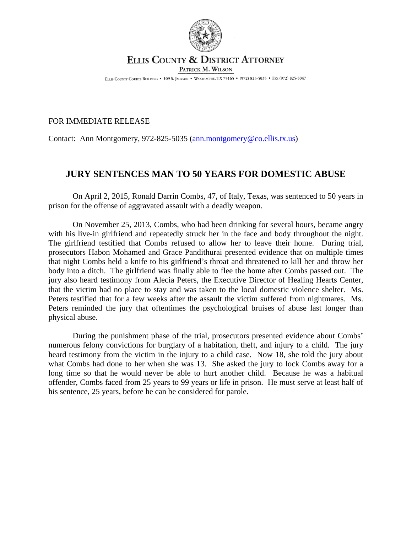

## ELLIS COUNTY & DISTRICT ATTORNEY PATRICK M. WILSON

ELLIS COUNTY COURTS BUILDING . 109 S. JACKSON . WAXAHACHIE, TX 75165 . (972) 825-5035 . FAX (972) 825-5047

## FOR IMMEDIATE RELEASE

Contact: Ann Montgomery, 972-825-5035 ([ann.montgomery@co.ellis.tx.us](mailto:ann.montgomery@co.ellis.tx.us))

## **JURY SENTENCES MAN TO 50 YEARS FOR DOMESTIC ABUSE**

On April 2, 2015, Ronald Darrin Combs, 47, of Italy, Texas, was sentenced to 50 years in prison for the offense of aggravated assault with a deadly weapon.

On November 25, 2013, Combs, who had been drinking for several hours, became angry with his live-in girlfriend and repeatedly struck her in the face and body throughout the night. The girlfriend testified that Combs refused to allow her to leave their home. During trial, prosecutors Habon Mohamed and Grace Pandithurai presented evidence that on multiple times that night Combs held a knife to his girlfriend's throat and threatened to kill her and throw her body into a ditch. The girlfriend was finally able to flee the home after Combs passed out. The jury also heard testimony from Alecia Peters, the Executive Director of Healing Hearts Center, that the victim had no place to stay and was taken to the local domestic violence shelter. Ms. Peters testified that for a few weeks after the assault the victim suffered from nightmares. Ms. Peters reminded the jury that oftentimes the psychological bruises of abuse last longer than physical abuse.

During the punishment phase of the trial, prosecutors presented evidence about Combs' numerous felony convictions for burglary of a habitation, theft, and injury to a child. The jury heard testimony from the victim in the injury to a child case. Now 18, she told the jury about what Combs had done to her when she was 13. She asked the jury to lock Combs away for a long time so that he would never be able to hurt another child. Because he was a habitual offender, Combs faced from 25 years to 99 years or life in prison. He must serve at least half of his sentence, 25 years, before he can be considered for parole.